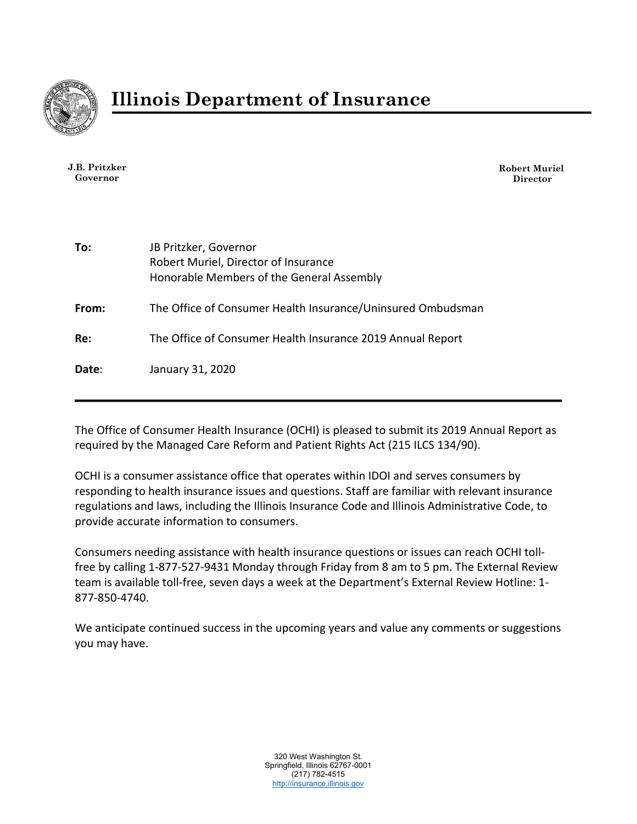

**J.B. Pritzker Governor**

**Robert Muriel Director**

| To:   | JB Pritzker, Governor<br>Robert Muriel, Director of Insurance<br>Honorable Members of the General Assembly |
|-------|------------------------------------------------------------------------------------------------------------|
| From: | The Office of Consumer Health Insurance/Uninsured Ombudsman                                                |
| Re:   | The Office of Consumer Health Insurance 2019 Annual Report                                                 |
| Date: | January 31, 2020                                                                                           |

The Office of Consumer Health Insurance (OCHI) is pleased to submit its 2019 Annual Report as required by the Managed Care Reform and Patient Rights Act (215 ILCS 134/90).

OCHI is a consumer assistance office that operates within IDOI and serves consumers by responding to health insurance issues and questions. Staff are familiar with relevant insurance regulations and laws, including the Illinois Insurance Code and Illinois Administrative Code, to provide accurate information to consumers.

Consumers needing assistance with health insurance questions or issues can reach OCHI tollfree by calling 1-877-527-9431 Monday through Friday from 8 am to 5 pm. The External Review team is available toll-free, seven days a week at the Department's External Review Hotline: 1- 877-850-4740.

We anticipate continued success in the upcoming years and value any comments or suggestions you may have.

> 320 West Washington St. Springfield, Illinois 62767-0001 (217) 782-4515 [http://insurance.illinois.gov](http://insurance.illinois.gov/)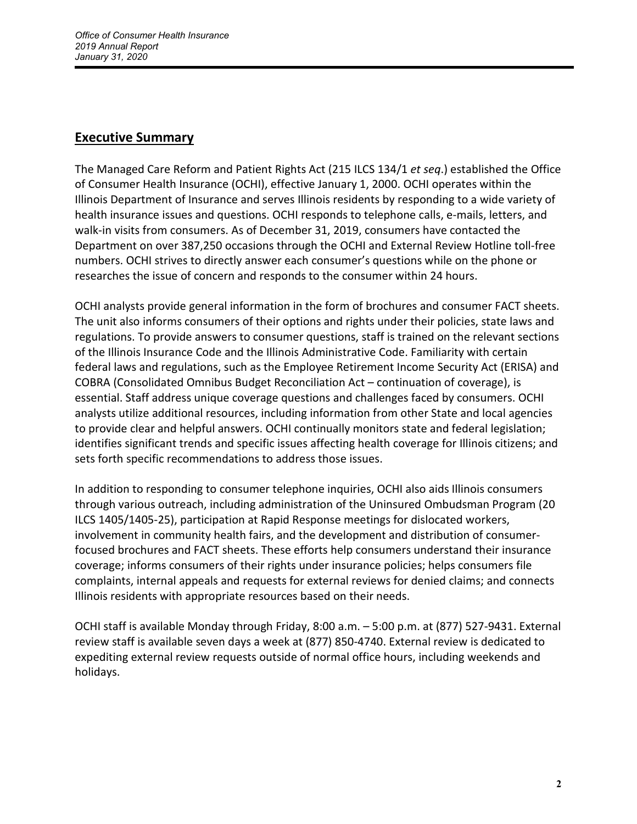## **Executive Summary**

The Managed Care Reform and Patient Rights Act (215 ILCS 134/1 *et seq*.) established the Office of Consumer Health Insurance (OCHI), effective January 1, 2000. OCHI operates within the Illinois Department of Insurance and serves Illinois residents by responding to a wide variety of health insurance issues and questions. OCHI responds to telephone calls, e-mails, letters, and walk-in visits from consumers. As of December 31, 2019, consumers have contacted the Department on over 387,250 occasions through the OCHI and External Review Hotline toll-free numbers. OCHI strives to directly answer each consumer's questions while on the phone or researches the issue of concern and responds to the consumer within 24 hours.

OCHI analysts provide general information in the form of brochures and consumer FACT sheets. The unit also informs consumers of their options and rights under their policies, state laws and regulations. To provide answers to consumer questions, staff is trained on the relevant sections of the Illinois Insurance Code and the Illinois Administrative Code. Familiarity with certain federal laws and regulations, such as the Employee Retirement Income Security Act (ERISA) and COBRA (Consolidated Omnibus Budget Reconciliation Act – continuation of coverage), is essential. Staff address unique coverage questions and challenges faced by consumers. OCHI analysts utilize additional resources, including information from other State and local agencies to provide clear and helpful answers. OCHI continually monitors state and federal legislation; identifies significant trends and specific issues affecting health coverage for Illinois citizens; and sets forth specific recommendations to address those issues.

In addition to responding to consumer telephone inquiries, OCHI also aids Illinois consumers through various outreach, including administration of the Uninsured Ombudsman Program (20 ILCS 1405/1405-25), participation at Rapid Response meetings for dislocated workers, involvement in community health fairs, and the development and distribution of consumerfocused brochures and FACT sheets. These efforts help consumers understand their insurance coverage; informs consumers of their rights under insurance policies; helps consumers file complaints, internal appeals and requests for external reviews for denied claims; and connects Illinois residents with appropriate resources based on their needs.

OCHI staff is available Monday through Friday, 8:00 a.m. – 5:00 p.m. at (877) 527-9431. External review staff is available seven days a week at (877) 850-4740. External review is dedicated to expediting external review requests outside of normal office hours, including weekends and holidays.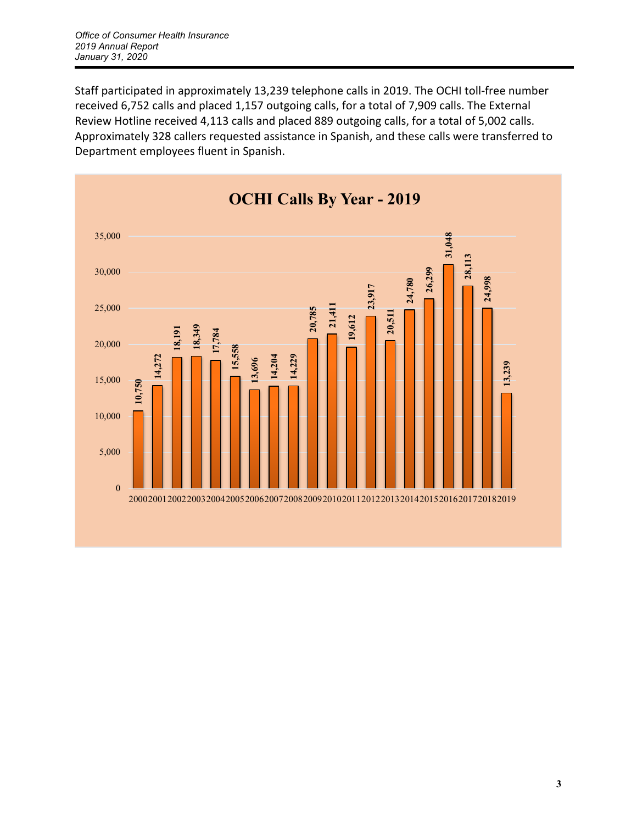Staff participated in approximately 13,239 telephone calls in 2019. The OCHI toll-free number received 6,752 calls and placed 1,157 outgoing calls, for a total of 7,909 calls. The External Review Hotline received 4,113 calls and placed 889 outgoing calls, for a total of 5,002 calls. Approximately 328 callers requested assistance in Spanish, and these calls were transferred to Department employees fluent in Spanish.

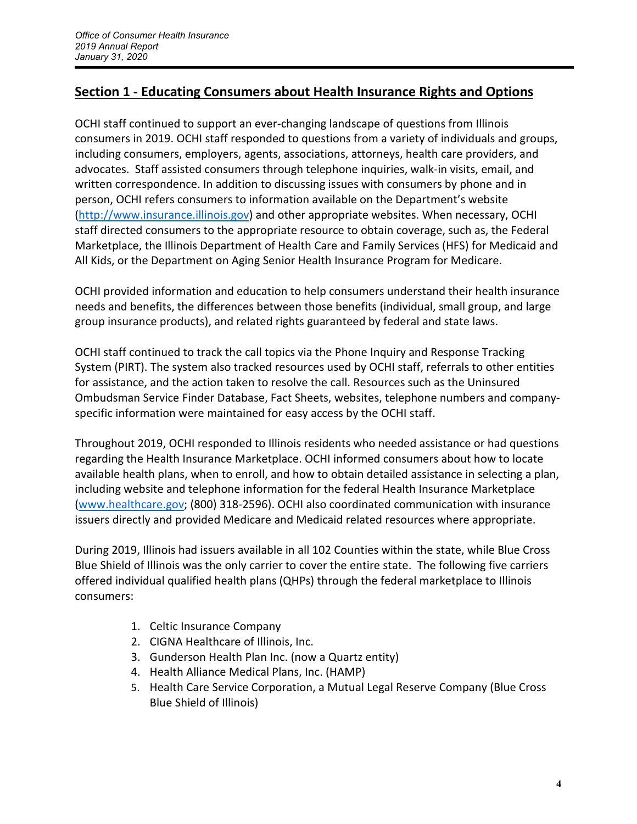# **Section 1 - Educating Consumers about Health Insurance Rights and Options**

OCHI staff continued to support an ever-changing landscape of questions from Illinois consumers in 2019. OCHI staff responded to questions from a variety of individuals and groups, including consumers, employers, agents, associations, attorneys, health care providers, and advocates. Staff assisted consumers through telephone inquiries, walk-in visits, email, and written correspondence. In addition to discussing issues with consumers by phone and in person, OCHI refers consumers to information available on the Department's website [\(http://www.insurance.illinois.gov\)](http://www.insurance.illinois.gov/) and other appropriate websites. When necessary, OCHI staff directed consumers to the appropriate resource to obtain coverage, such as, the Federal Marketplace, the Illinois Department of Health Care and Family Services (HFS) for Medicaid and All Kids, or the Department on Aging Senior Health Insurance Program for Medicare.

OCHI provided information and education to help consumers understand their health insurance needs and benefits, the differences between those benefits (individual, small group, and large group insurance products), and related rights guaranteed by federal and state laws.

OCHI staff continued to track the call topics via the Phone Inquiry and Response Tracking System (PIRT). The system also tracked resources used by OCHI staff, referrals to other entities for assistance, and the action taken to resolve the call. Resources such as the Uninsured Ombudsman Service Finder Database, Fact Sheets, websites, telephone numbers and companyspecific information were maintained for easy access by the OCHI staff.

Throughout 2019, OCHI responded to Illinois residents who needed assistance or had questions regarding the Health Insurance Marketplace. OCHI informed consumers about how to locate available health plans, when to enroll, and how to obtain detailed assistance in selecting a plan, including website and telephone information for the federal Health Insurance Marketplace [\(www.healthcare.gov;](http://www.healthcare.gov/) (800) 318-2596). OCHI also coordinated communication with insurance issuers directly and provided Medicare and Medicaid related resources where appropriate.

During 2019, Illinois had issuers available in all 102 Counties within the state, while Blue Cross Blue Shield of Illinois was the only carrier to cover the entire state. The following five carriers offered individual qualified health plans (QHPs) through the federal marketplace to Illinois consumers:

- 1. Celtic Insurance Company
- 2. CIGNA Healthcare of Illinois, Inc.
- 3. Gunderson Health Plan Inc. (now a Quartz entity)
- 4. Health Alliance Medical Plans, Inc. (HAMP)
- 5. Health Care Service Corporation, a Mutual Legal Reserve Company (Blue Cross Blue Shield of Illinois)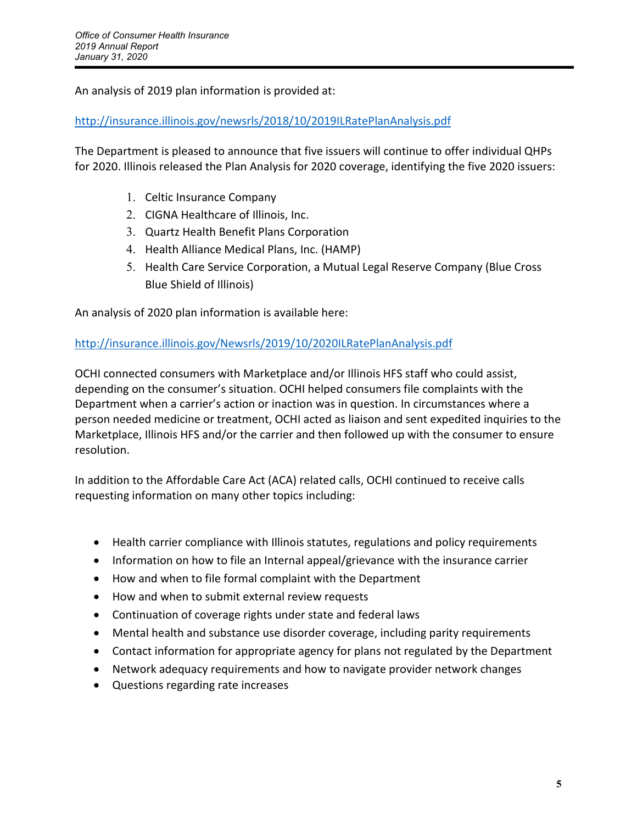An analysis of 2019 plan information is provided at:

<http://insurance.illinois.gov/newsrls/2018/10/2019ILRatePlanAnalysis.pdf>

The Department is pleased to announce that five issuers will continue to offer individual QHPs for 2020. Illinois released the Plan Analysis for 2020 coverage, identifying the five 2020 issuers:

- 1. Celtic Insurance Company
- 2. CIGNA Healthcare of Illinois, Inc.
- 3. Quartz Health Benefit Plans Corporation
- 4. Health Alliance Medical Plans, Inc. (HAMP)
- 5. Health Care Service Corporation, a Mutual Legal Reserve Company (Blue Cross Blue Shield of Illinois)

An analysis of 2020 plan information is available here:

#### <http://insurance.illinois.gov/Newsrls/2019/10/2020ILRatePlanAnalysis.pdf>

OCHI connected consumers with Marketplace and/or Illinois HFS staff who could assist, depending on the consumer's situation. OCHI helped consumers file complaints with the Department when a carrier's action or inaction was in question. In circumstances where a person needed medicine or treatment, OCHI acted as liaison and sent expedited inquiries to the Marketplace, Illinois HFS and/or the carrier and then followed up with the consumer to ensure resolution.

In addition to the Affordable Care Act (ACA) related calls, OCHI continued to receive calls requesting information on many other topics including:

- Health carrier compliance with Illinois statutes, regulations and policy requirements
- Information on how to file an Internal appeal/grievance with the insurance carrier
- How and when to file formal complaint with the Department
- How and when to submit external review requests
- Continuation of coverage rights under state and federal laws
- Mental health and substance use disorder coverage, including parity requirements
- Contact information for appropriate agency for plans not regulated by the Department
- Network adequacy requirements and how to navigate provider network changes
- Questions regarding rate increases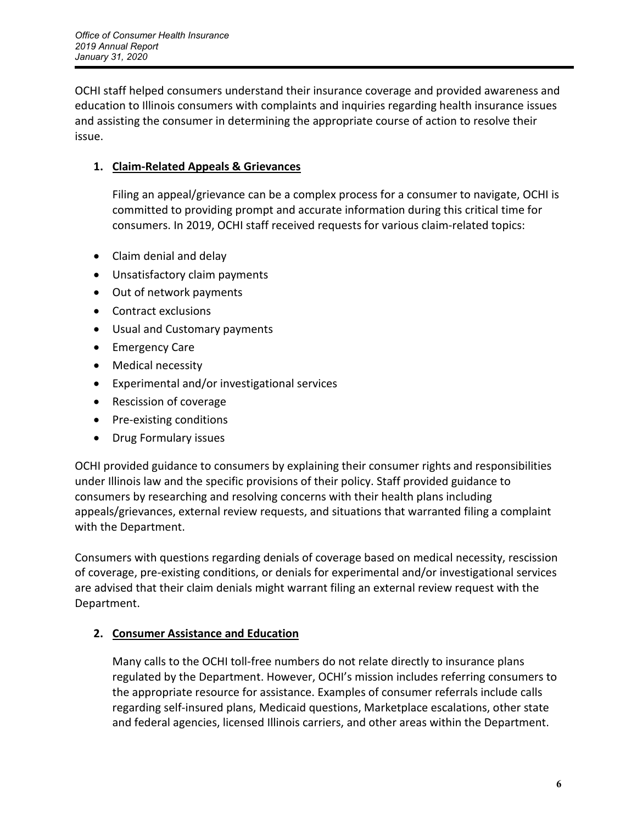OCHI staff helped consumers understand their insurance coverage and provided awareness and education to Illinois consumers with complaints and inquiries regarding health insurance issues and assisting the consumer in determining the appropriate course of action to resolve their issue.

## **1. Claim-Related Appeals & Grievances**

Filing an appeal/grievance can be a complex process for a consumer to navigate, OCHI is committed to providing prompt and accurate information during this critical time for consumers. In 2019, OCHI staff received requests for various claim-related topics:

- Claim denial and delay
- Unsatisfactory claim payments
- Out of network payments
- Contract exclusions
- Usual and Customary payments
- Emergency Care
- Medical necessity
- Experimental and/or investigational services
- Rescission of coverage
- Pre-existing conditions
- Drug Formulary issues

OCHI provided guidance to consumers by explaining their consumer rights and responsibilities under Illinois law and the specific provisions of their policy. Staff provided guidance to consumers by researching and resolving concerns with their health plans including appeals/grievances, external review requests, and situations that warranted filing a complaint with the Department.

Consumers with questions regarding denials of coverage based on medical necessity, rescission of coverage, pre-existing conditions, or denials for experimental and/or investigational services are advised that their claim denials might warrant filing an external review request with the Department.

## **2. Consumer Assistance and Education**

Many calls to the OCHI toll-free numbers do not relate directly to insurance plans regulated by the Department. However, OCHI's mission includes referring consumers to the appropriate resource for assistance. Examples of consumer referrals include calls regarding self-insured plans, Medicaid questions, Marketplace escalations, other state and federal agencies, licensed Illinois carriers, and other areas within the Department.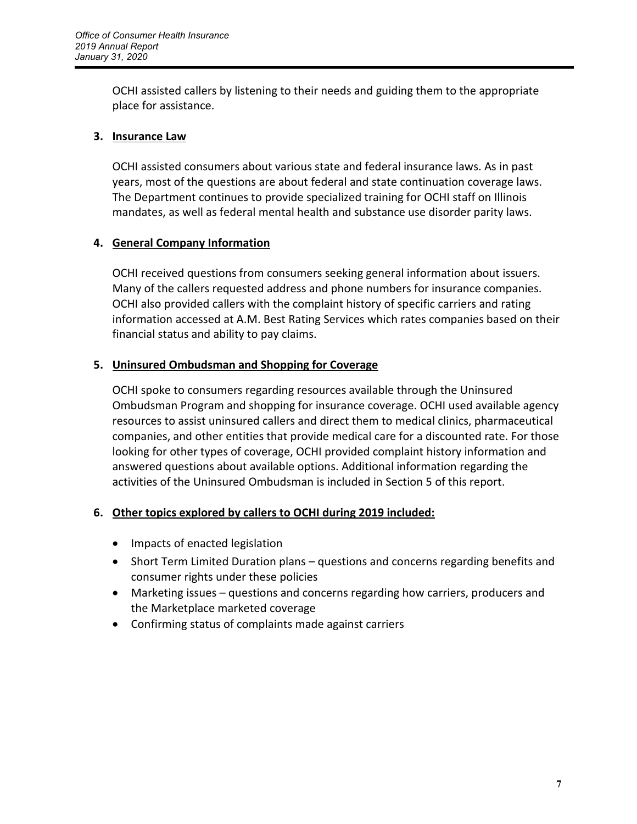OCHI assisted callers by listening to their needs and guiding them to the appropriate place for assistance.

## **3. Insurance Law**

OCHI assisted consumers about various state and federal insurance laws. As in past years, most of the questions are about federal and state continuation coverage laws. The Department continues to provide specialized training for OCHI staff on Illinois mandates, as well as federal mental health and substance use disorder parity laws.

## **4. General Company Information**

OCHI received questions from consumers seeking general information about issuers. Many of the callers requested address and phone numbers for insurance companies. OCHI also provided callers with the complaint history of specific carriers and rating information accessed at A.M. Best Rating Services which rates companies based on their financial status and ability to pay claims.

## **5. Uninsured Ombudsman and Shopping for Coverage**

OCHI spoke to consumers regarding resources available through the Uninsured Ombudsman Program and shopping for insurance coverage. OCHI used available agency resources to assist uninsured callers and direct them to medical clinics, pharmaceutical companies, and other entities that provide medical care for a discounted rate. For those looking for other types of coverage, OCHI provided complaint history information and answered questions about available options. Additional information regarding the activities of the Uninsured Ombudsman is included in Section 5 of this report.

## **6. Other topics explored by callers to OCHI during 2019 included:**

- Impacts of enacted legislation
- Short Term Limited Duration plans questions and concerns regarding benefits and consumer rights under these policies
- Marketing issues questions and concerns regarding how carriers, producers and the Marketplace marketed coverage
- Confirming status of complaints made against carriers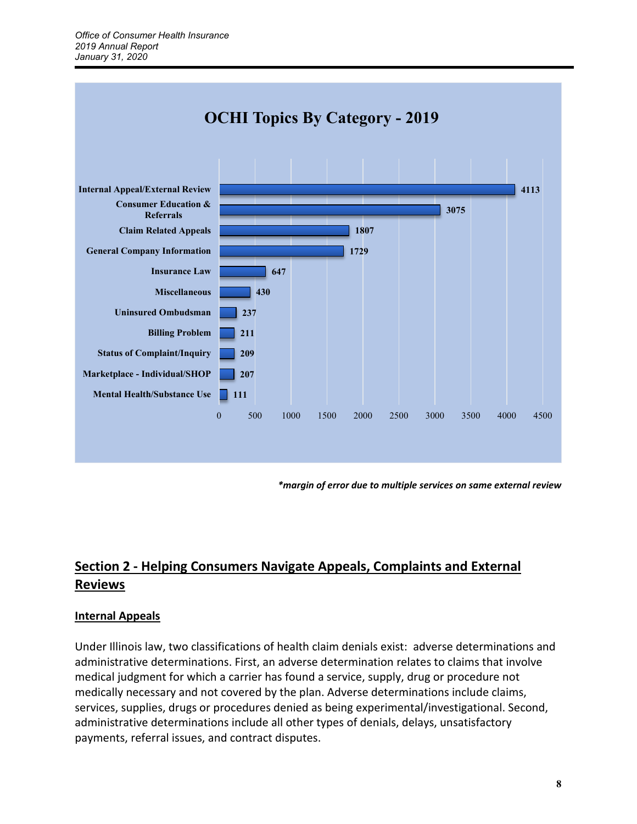

*\*margin of error due to multiple services on same external review*

# **Section 2 - Helping Consumers Navigate Appeals, Complaints and External Reviews**

#### **Internal Appeals**

Under Illinois law, two classifications of health claim denials exist: adverse determinations and administrative determinations. First, an adverse determination relates to claims that involve medical judgment for which a carrier has found a service, supply, drug or procedure not medically necessary and not covered by the plan. Adverse determinations include claims, services, supplies, drugs or procedures denied as being experimental/investigational. Second, administrative determinations include all other types of denials, delays, unsatisfactory payments, referral issues, and contract disputes.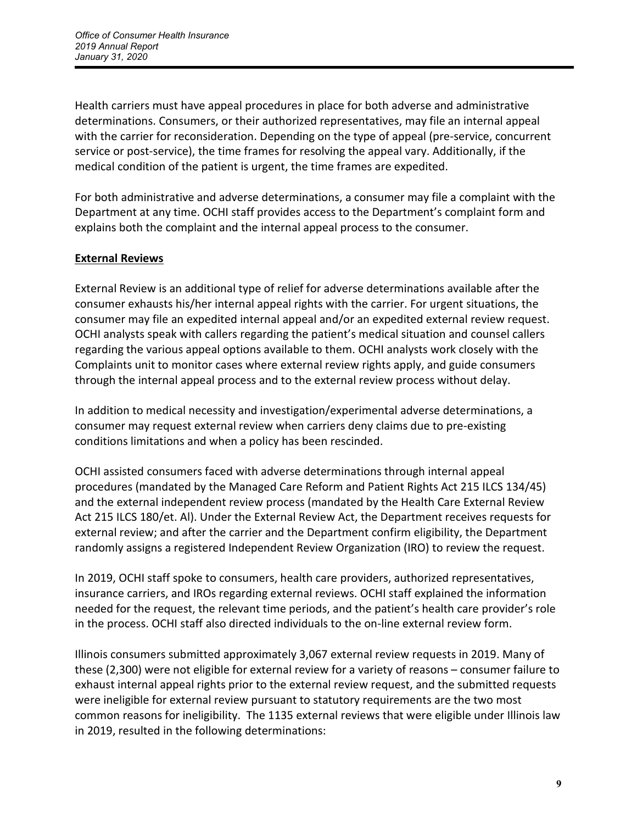Health carriers must have appeal procedures in place for both adverse and administrative determinations. Consumers, or their authorized representatives, may file an internal appeal with the carrier for reconsideration. Depending on the type of appeal (pre-service, concurrent service or post-service), the time frames for resolving the appeal vary. Additionally, if the medical condition of the patient is urgent, the time frames are expedited.

For both administrative and adverse determinations, a consumer may file a complaint with the Department at any time. OCHI staff provides access to the Department's complaint form and explains both the complaint and the internal appeal process to the consumer.

## **External Reviews**

External Review is an additional type of relief for adverse determinations available after the consumer exhausts his/her internal appeal rights with the carrier. For urgent situations, the consumer may file an expedited internal appeal and/or an expedited external review request. OCHI analysts speak with callers regarding the patient's medical situation and counsel callers regarding the various appeal options available to them. OCHI analysts work closely with the Complaints unit to monitor cases where external review rights apply, and guide consumers through the internal appeal process and to the external review process without delay.

In addition to medical necessity and investigation/experimental adverse determinations, a consumer may request external review when carriers deny claims due to pre-existing conditions limitations and when a policy has been rescinded.

OCHI assisted consumers faced with adverse determinations through internal appeal procedures (mandated by the Managed Care Reform and Patient Rights Act 215 ILCS 134/45) and the external independent review process (mandated by the Health Care External Review Act 215 ILCS 180/et. Al). Under the External Review Act, the Department receives requests for external review; and after the carrier and the Department confirm eligibility, the Department randomly assigns a registered Independent Review Organization (IRO) to review the request.

In 2019, OCHI staff spoke to consumers, health care providers, authorized representatives, insurance carriers, and IROs regarding external reviews. OCHI staff explained the information needed for the request, the relevant time periods, and the patient's health care provider's role in the process. OCHI staff also directed individuals to the on-line external review form.

Illinois consumers submitted approximately 3,067 external review requests in 2019. Many of these (2,300) were not eligible for external review for a variety of reasons – consumer failure to exhaust internal appeal rights prior to the external review request, and the submitted requests were ineligible for external review pursuant to statutory requirements are the two most common reasons for ineligibility. The 1135 external reviews that were eligible under Illinois law in 2019, resulted in the following determinations: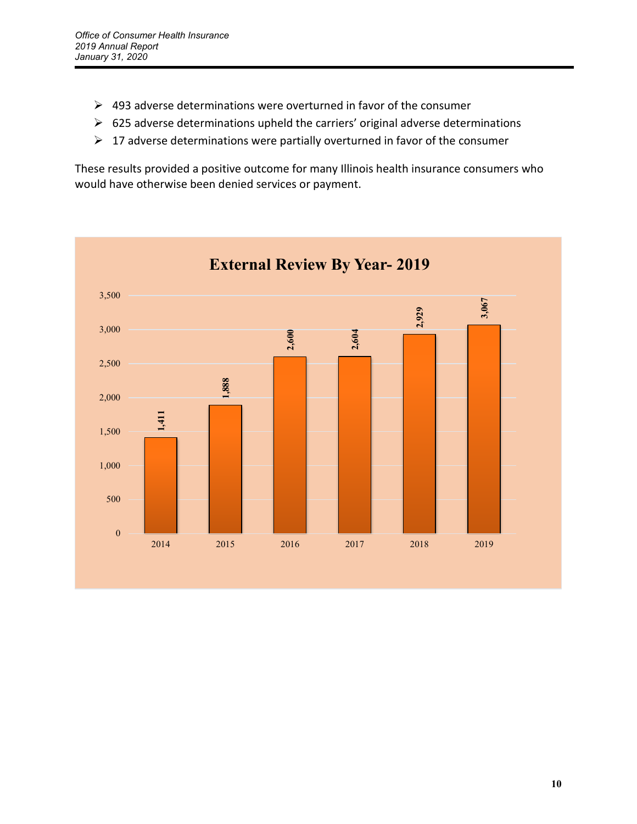- $\triangleright$  493 adverse determinations were overturned in favor of the consumer
- $\triangleright$  625 adverse determinations upheld the carriers' original adverse determinations
- $\triangleright$  17 adverse determinations were partially overturned in favor of the consumer

These results provided a positive outcome for many Illinois health insurance consumers who would have otherwise been denied services or payment.

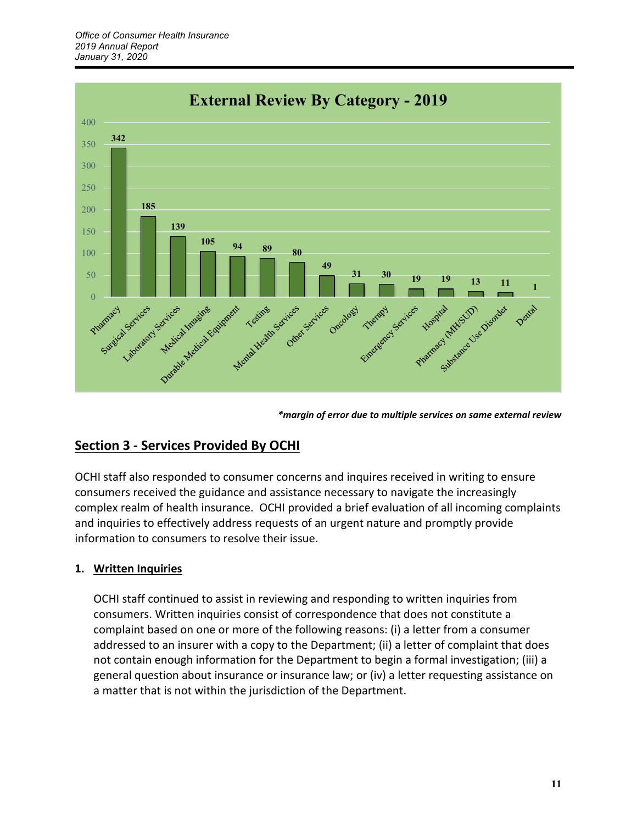

*\*margin of error due to multiple services on same external review*

## **Section 3 - Services Provided By OCHI**

OCHI staff also responded to consumer concerns and inquires received in writing to ensure consumers received the guidance and assistance necessary to navigate the increasingly complex realm of health insurance. OCHI provided a brief evaluation of all incoming complaints and inquiries to effectively address requests of an urgent nature and promptly provide information to consumers to resolve their issue.

#### **1. Written Inquiries**

OCHI staff continued to assist in reviewing and responding to written inquiries from consumers. Written inquiries consist of correspondence that does not constitute a complaint based on one or more of the following reasons: (i) a letter from a consumer addressed to an insurer with a copy to the Department; (ii) a letter of complaint that does not contain enough information for the Department to begin a formal investigation; (iii) a general question about insurance or insurance law; or (iv) a letter requesting assistance on a matter that is not within the jurisdiction of the Department.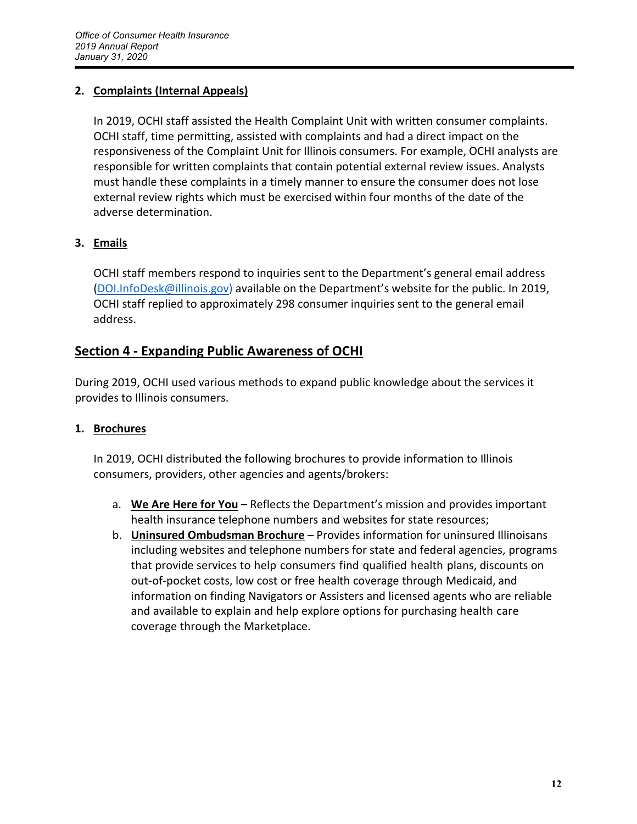## **2. Complaints (Internal Appeals)**

In 2019, OCHI staff assisted the Health Complaint Unit with written consumer complaints. OCHI staff, time permitting, assisted with complaints and had a direct impact on the responsiveness of the Complaint Unit for Illinois consumers. For example, OCHI analysts are responsible for written complaints that contain potential external review issues. Analysts must handle these complaints in a timely manner to ensure the consumer does not lose external review rights which must be exercised within four months of the date of the adverse determination.

## **3. Emails**

OCHI staff members respond to inquiries sent to the Department's general email address [\(DOI.InfoDesk@illinois.gov\)](mailto:DOI.InfoDesk@illinois.gov) available on the Department's website for the public. In 2019, OCHI staff replied to approximately 298 consumer inquiries sent to the general email address.

## **Section 4 - Expanding Public Awareness of OCHI**

During 2019, OCHI used various methods to expand public knowledge about the services it provides to Illinois consumers.

## **1. Brochures**

In 2019, OCHI distributed the following brochures to provide information to Illinois consumers, providers, other agencies and agents/brokers:

- a. **We Are Here for You** Reflects the Department's mission and provides important health insurance telephone numbers and websites for state resources;
- b. **Uninsured Ombudsman Brochure** Provides information for uninsured Illinoisans including websites and telephone numbers for state and federal agencies, programs that provide services to help consumers find qualified health plans, discounts on out-of-pocket costs, low cost or free health coverage through Medicaid, and information on finding Navigators or Assisters and licensed agents who are reliable and available to explain and help explore options for purchasing health care coverage through the Marketplace.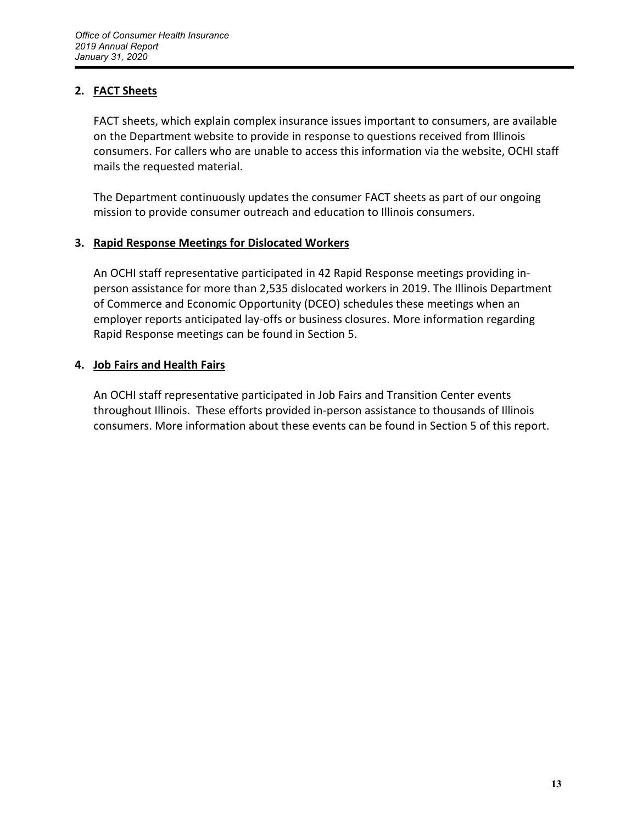## **2. FACT Sheets**

FACT sheets, which explain complex insurance issues important to consumers, are available on the Department website to provide in response to questions received from Illinois consumers. For callers who are unable to access this information via the website, OCHI staff mails the requested material.

The Department continuously updates the consumer FACT sheets as part of our ongoing mission to provide consumer outreach and education to Illinois consumers.

#### **3. Rapid Response Meetings for Dislocated Workers**

An OCHI staff representative participated in 42 Rapid Response meetings providing inperson assistance for more than 2,535 dislocated workers in 2019. The Illinois Department of Commerce and Economic Opportunity (DCEO) schedules these meetings when an employer reports anticipated lay-offs or business closures. More information regarding Rapid Response meetings can be found in Section 5.

#### **4. Job Fairs and Health Fairs**

An OCHI staff representative participated in Job Fairs and Transition Center events throughout Illinois. These efforts provided in-person assistance to thousands of Illinois consumers. More information about these events can be found in Section 5 of this report.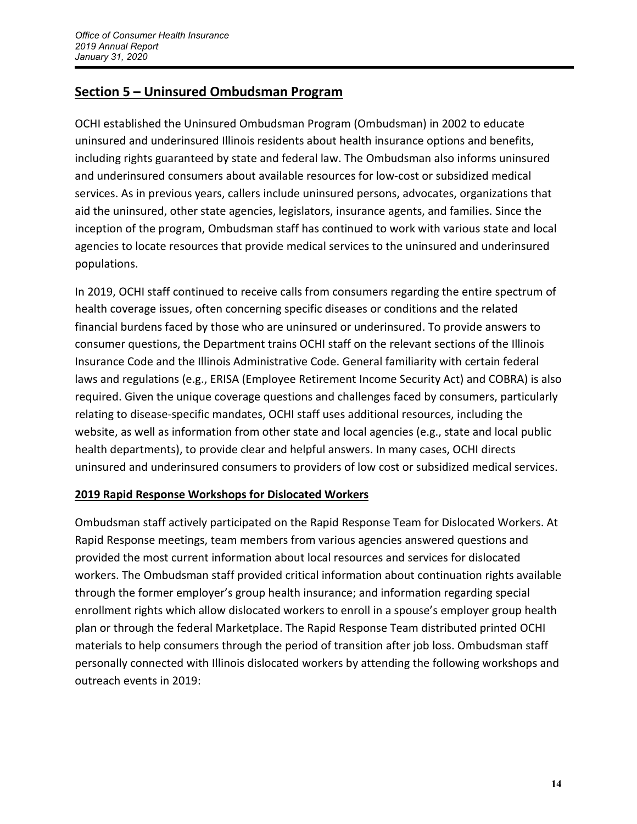## **Section 5 – Uninsured Ombudsman Program**

OCHI established the Uninsured Ombudsman Program (Ombudsman) in 2002 to educate uninsured and underinsured Illinois residents about health insurance options and benefits, including rights guaranteed by state and federal law. The Ombudsman also informs uninsured and underinsured consumers about available resources for low-cost or subsidized medical services. As in previous years, callers include uninsured persons, advocates, organizations that aid the uninsured, other state agencies, legislators, insurance agents, and families. Since the inception of the program, Ombudsman staff has continued to work with various state and local agencies to locate resources that provide medical services to the uninsured and underinsured populations.

In 2019, OCHI staff continued to receive calls from consumers regarding the entire spectrum of health coverage issues, often concerning specific diseases or conditions and the related financial burdens faced by those who are uninsured or underinsured. To provide answers to consumer questions, the Department trains OCHI staff on the relevant sections of the Illinois Insurance Code and the Illinois Administrative Code. General familiarity with certain federal laws and regulations (e.g., ERISA (Employee Retirement Income Security Act) and COBRA) is also required. Given the unique coverage questions and challenges faced by consumers, particularly relating to disease-specific mandates, OCHI staff uses additional resources, including the website, as well as information from other state and local agencies (e.g., state and local public health departments), to provide clear and helpful answers. In many cases, OCHI directs uninsured and underinsured consumers to providers of low cost or subsidized medical services.

## **2019 Rapid Response Workshops for Dislocated Workers**

Ombudsman staff actively participated on the Rapid Response Team for Dislocated Workers. At Rapid Response meetings, team members from various agencies answered questions and provided the most current information about local resources and services for dislocated workers. The Ombudsman staff provided critical information about continuation rights available through the former employer's group health insurance; and information regarding special enrollment rights which allow dislocated workers to enroll in a spouse's employer group health plan or through the federal Marketplace. The Rapid Response Team distributed printed OCHI materials to help consumers through the period of transition after job loss. Ombudsman staff personally connected with Illinois dislocated workers by attending the following workshops and outreach events in 2019: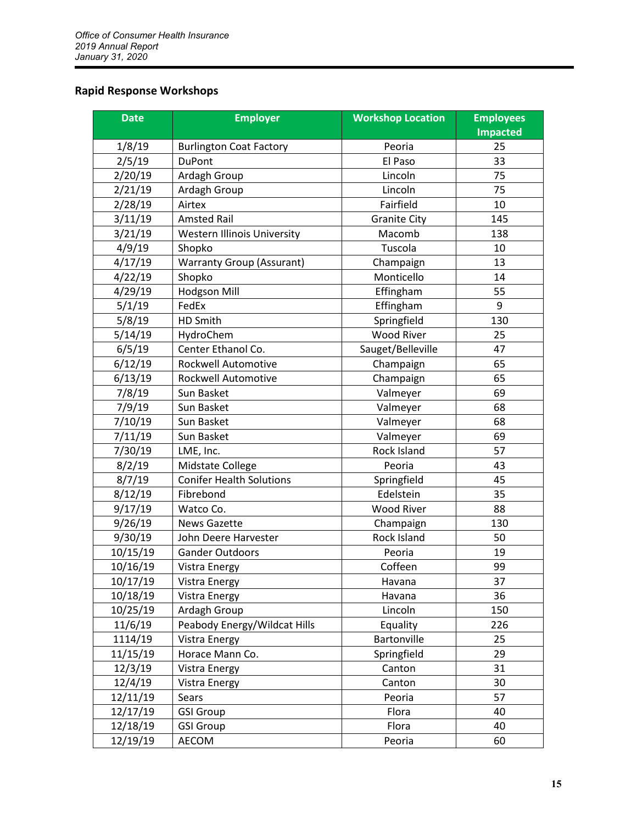## **Rapid Response Workshops**

| <b>Date</b> | <b>Employer</b>                    | <b>Workshop Location</b> | <b>Employees</b><br><b>Impacted</b> |
|-------------|------------------------------------|--------------------------|-------------------------------------|
| 1/8/19      | <b>Burlington Coat Factory</b>     | Peoria                   | 25                                  |
| 2/5/19      | <b>DuPont</b>                      | El Paso                  | 33                                  |
| 2/20/19     | Ardagh Group                       | Lincoln                  | 75                                  |
| 2/21/19     | Ardagh Group                       | Lincoln                  | 75                                  |
| 2/28/19     | Airtex                             | Fairfield                | 10                                  |
| 3/11/19     | <b>Amsted Rail</b>                 | <b>Granite City</b>      | 145                                 |
| 3/21/19     | <b>Western Illinois University</b> | Macomb                   | 138                                 |
| 4/9/19      | Shopko                             | Tuscola                  | 10                                  |
| 4/17/19     | <b>Warranty Group (Assurant)</b>   | Champaign                | 13                                  |
| 4/22/19     | Shopko                             | Monticello               | 14                                  |
| 4/29/19     | <b>Hodgson Mill</b>                | Effingham                | 55                                  |
| 5/1/19      | FedEx                              | Effingham                | 9                                   |
| 5/8/19      | HD Smith                           | Springfield              | 130                                 |
| 5/14/19     | HydroChem                          | <b>Wood River</b>        | 25                                  |
| 6/5/19      | Center Ethanol Co.                 | Sauget/Belleville        | 47                                  |
| 6/12/19     | <b>Rockwell Automotive</b>         | Champaign                | 65                                  |
| 6/13/19     | Rockwell Automotive                | Champaign                | 65                                  |
| 7/8/19      | Sun Basket                         | Valmeyer                 | 69                                  |
| 7/9/19      | Sun Basket                         | Valmeyer                 | 68                                  |
| 7/10/19     | Sun Basket                         | Valmeyer                 | 68                                  |
| 7/11/19     | Sun Basket                         | Valmeyer                 | 69                                  |
| 7/30/19     | LME, Inc.                          | Rock Island              | 57                                  |
| 8/2/19      | Midstate College                   | Peoria                   | 43                                  |
| 8/7/19      | <b>Conifer Health Solutions</b>    | Springfield              | 45                                  |
| 8/12/19     | Fibrebond                          | Edelstein                | 35                                  |
| 9/17/19     | Watco Co.                          | <b>Wood River</b>        | 88                                  |
| 9/26/19     | <b>News Gazette</b>                | Champaign                | 130                                 |
| 9/30/19     | John Deere Harvester               | Rock Island              | 50                                  |
| 10/15/19    | <b>Gander Outdoors</b>             | Peoria                   | 19                                  |
| 10/16/19    | Vistra Energy                      | Coffeen                  | 99                                  |
| 10/17/19    | <b>Vistra Energy</b>               | Havana                   | 37                                  |
| 10/18/19    | <b>Vistra Energy</b>               | Havana                   | 36                                  |
| 10/25/19    | Ardagh Group                       | Lincoln                  | 150                                 |
| 11/6/19     | Peabody Energy/Wildcat Hills       | Equality                 | 226                                 |
| 1114/19     | <b>Vistra Energy</b>               | Bartonville              | 25                                  |
| 11/15/19    | Horace Mann Co.                    | Springfield              | 29                                  |
| 12/3/19     | <b>Vistra Energy</b>               | Canton                   | 31                                  |
| 12/4/19     | Vistra Energy                      | Canton                   | 30                                  |
| 12/11/19    | Sears                              | Peoria                   | 57                                  |
| 12/17/19    | <b>GSI Group</b>                   | Flora                    | 40                                  |
| 12/18/19    | <b>GSI Group</b>                   | Flora                    | 40                                  |
| 12/19/19    | AECOM                              | Peoria                   | 60                                  |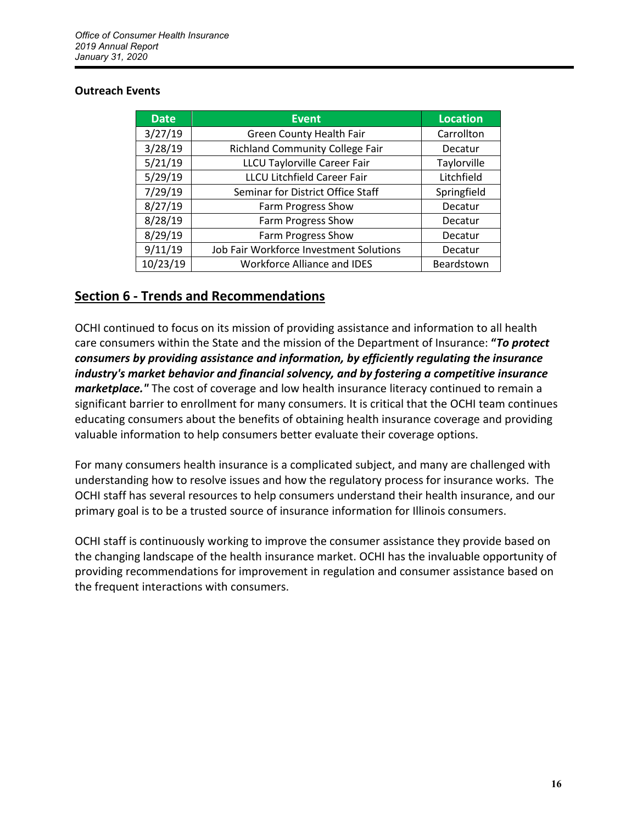#### **Outreach Events**

| <b>Date</b> | <b>Event</b>                            | <b>Location</b> |
|-------------|-----------------------------------------|-----------------|
| 3/27/19     | <b>Green County Health Fair</b>         | Carrollton      |
| 3/28/19     | <b>Richland Community College Fair</b>  | Decatur         |
| 5/21/19     | <b>LLCU Taylorville Career Fair</b>     | Taylorville     |
| 5/29/19     | <b>LLCU Litchfield Career Fair</b>      | Litchfield      |
| 7/29/19     | Seminar for District Office Staff       | Springfield     |
| 8/27/19     | Farm Progress Show                      | Decatur         |
| 8/28/19     | Farm Progress Show                      | Decatur         |
| 8/29/19     | Farm Progress Show                      | Decatur         |
| 9/11/19     | Job Fair Workforce Investment Solutions | Decatur         |
| 10/23/19    | <b>Workforce Alliance and IDES</b>      | Beardstown      |

## **Section 6 - Trends and Recommendations**

OCHI continued to focus on its mission of providing assistance and information to all health care consumers within the State and the mission of the Department of Insurance: **"***To protect consumers by providing assistance and information, by efficiently regulating the insurance industry's market behavior and financial solvency, and by fostering a competitive insurance marketplace."* The cost of coverage and low health insurance literacy continued to remain a significant barrier to enrollment for many consumers. It is critical that the OCHI team continues educating consumers about the benefits of obtaining health insurance coverage and providing valuable information to help consumers better evaluate their coverage options.

For many consumers health insurance is a complicated subject, and many are challenged with understanding how to resolve issues and how the regulatory process for insurance works. The OCHI staff has several resources to help consumers understand their health insurance, and our primary goal is to be a trusted source of insurance information for Illinois consumers.

OCHI staff is continuously working to improve the consumer assistance they provide based on the changing landscape of the health insurance market. OCHI has the invaluable opportunity of providing recommendations for improvement in regulation and consumer assistance based on the frequent interactions with consumers.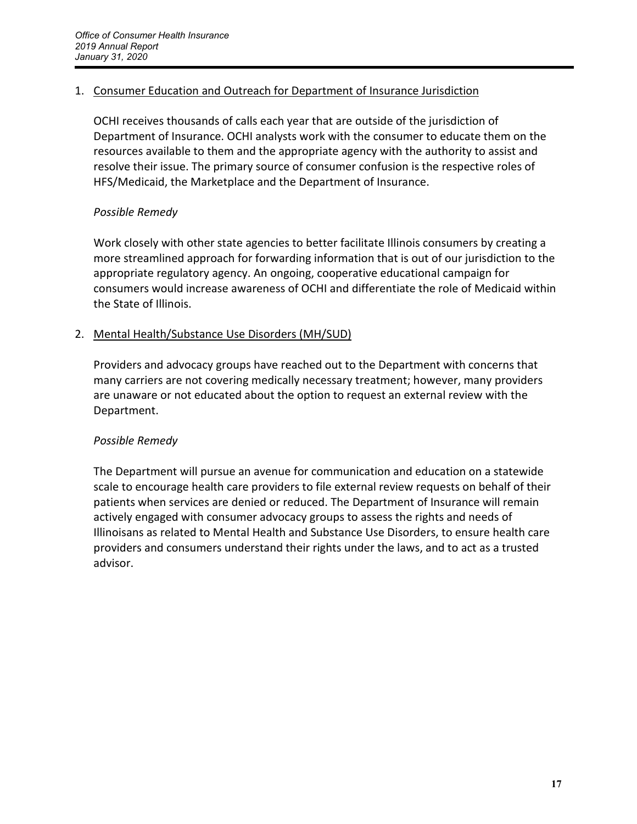#### 1. Consumer Education and Outreach for Department of Insurance Jurisdiction

OCHI receives thousands of calls each year that are outside of the jurisdiction of Department of Insurance. OCHI analysts work with the consumer to educate them on the resources available to them and the appropriate agency with the authority to assist and resolve their issue. The primary source of consumer confusion is the respective roles of HFS/Medicaid, the Marketplace and the Department of Insurance.

#### *Possible Remedy*

Work closely with other state agencies to better facilitate Illinois consumers by creating a more streamlined approach for forwarding information that is out of our jurisdiction to the appropriate regulatory agency. An ongoing, cooperative educational campaign for consumers would increase awareness of OCHI and differentiate the role of Medicaid within the State of Illinois.

## 2. Mental Health/Substance Use Disorders (MH/SUD)

Providers and advocacy groups have reached out to the Department with concerns that many carriers are not covering medically necessary treatment; however, many providers are unaware or not educated about the option to request an external review with the Department.

#### *Possible Remedy*

The Department will pursue an avenue for communication and education on a statewide scale to encourage health care providers to file external review requests on behalf of their patients when services are denied or reduced. The Department of Insurance will remain actively engaged with consumer advocacy groups to assess the rights and needs of Illinoisans as related to Mental Health and Substance Use Disorders, to ensure health care providers and consumers understand their rights under the laws, and to act as a trusted advisor.